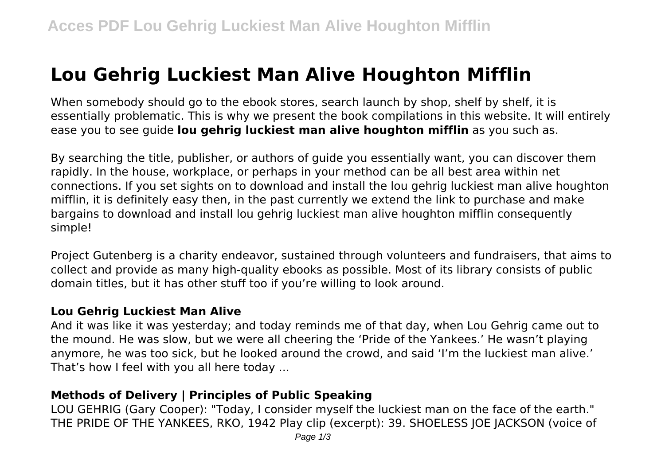# **Lou Gehrig Luckiest Man Alive Houghton Mifflin**

When somebody should go to the ebook stores, search launch by shop, shelf by shelf, it is essentially problematic. This is why we present the book compilations in this website. It will entirely ease you to see guide **lou gehrig luckiest man alive houghton mifflin** as you such as.

By searching the title, publisher, or authors of guide you essentially want, you can discover them rapidly. In the house, workplace, or perhaps in your method can be all best area within net connections. If you set sights on to download and install the lou gehrig luckiest man alive houghton mifflin, it is definitely easy then, in the past currently we extend the link to purchase and make bargains to download and install lou gehrig luckiest man alive houghton mifflin consequently simple!

Project Gutenberg is a charity endeavor, sustained through volunteers and fundraisers, that aims to collect and provide as many high-quality ebooks as possible. Most of its library consists of public domain titles, but it has other stuff too if you're willing to look around.

#### **Lou Gehrig Luckiest Man Alive**

And it was like it was yesterday; and today reminds me of that day, when Lou Gehrig came out to the mound. He was slow, but we were all cheering the 'Pride of the Yankees.' He wasn't playing anymore, he was too sick, but he looked around the crowd, and said 'I'm the luckiest man alive.' That's how I feel with you all here today ...

## **Methods of Delivery | Principles of Public Speaking**

LOU GEHRIG (Gary Cooper): "Today, I consider myself the luckiest man on the face of the earth." THE PRIDE OF THE YANKEES, RKO, 1942 Play clip (excerpt): 39. SHOELESS JOE JACKSON (voice of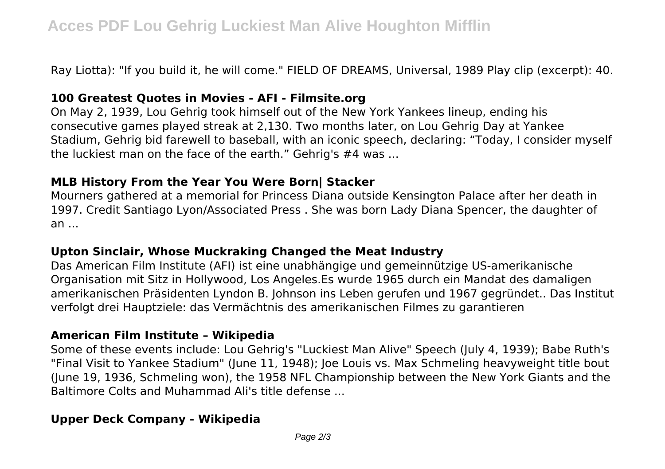Ray Liotta): "If you build it, he will come." FIELD OF DREAMS, Universal, 1989 Play clip (excerpt): 40.

#### **100 Greatest Quotes in Movies - AFI - Filmsite.org**

On May 2, 1939, Lou Gehrig took himself out of the New York Yankees lineup, ending his consecutive games played streak at 2,130. Two months later, on Lou Gehrig Day at Yankee Stadium, Gehrig bid farewell to baseball, with an iconic speech, declaring: "Today, I consider myself the luckiest man on the face of the earth." Gehrig's #4 was ...

## **MLB History From the Year You Were Born| Stacker**

Mourners gathered at a memorial for Princess Diana outside Kensington Palace after her death in 1997. Credit Santiago Lyon/Associated Press . She was born Lady Diana Spencer, the daughter of  $an \ldots$ 

## **Upton Sinclair, Whose Muckraking Changed the Meat Industry**

Das American Film Institute (AFI) ist eine unabhängige und gemeinnützige US-amerikanische Organisation mit Sitz in Hollywood, Los Angeles.Es wurde 1965 durch ein Mandat des damaligen amerikanischen Präsidenten Lyndon B. Johnson ins Leben gerufen und 1967 gegründet.. Das Institut verfolgt drei Hauptziele: das Vermächtnis des amerikanischen Filmes zu garantieren

## **American Film Institute – Wikipedia**

Some of these events include: Lou Gehrig's "Luckiest Man Alive" Speech (July 4, 1939); Babe Ruth's "Final Visit to Yankee Stadium" (June 11, 1948); Joe Louis vs. Max Schmeling heavyweight title bout (June 19, 1936, Schmeling won), the 1958 NFL Championship between the New York Giants and the Baltimore Colts and Muhammad Ali's title defense ...

## **Upper Deck Company - Wikipedia**